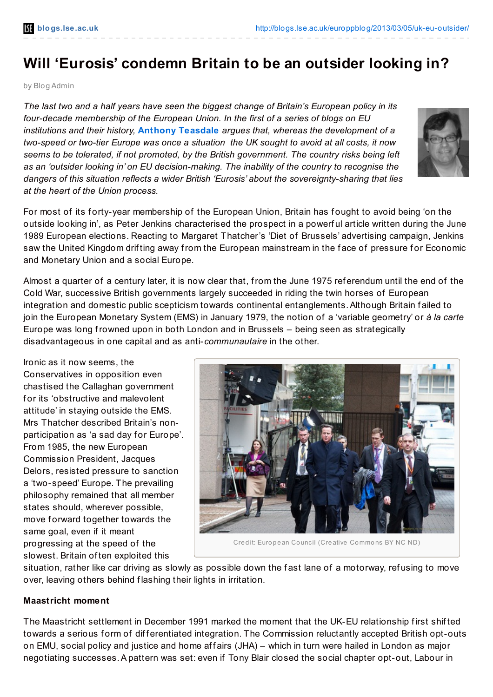# **Will 'Eurosis' condemn Britain to be an outsider looking in?**

by Blog Admin

*The last two and a half years have seen the biggest change of Britain's European policy in its four-decade membership of the European Union. In the first of a series of blogs on EU institutions and their history,* **Anthony [Teasdale](http://wp.me/p2MmSR-3cd#Author)** *argues that, whereas the development of a two-speed or two-tier Europe was once a situation the UK sought to avoid at all costs, it now seems to be tolerated, if not promoted, by the British government. The country risks being left as an 'outsider looking in' on EU decision-making. The inability of the country to recognise the dangers of this situation reflects a wider British 'Eurosis' about the sovereignty-sharing that lies at the heart of the Union process.*



For most of its forty-year membership of the European Union, Britain has fought to avoid being 'on the outside looking in', as Peter Jenkins characterised the prospect in a powerf ul article written during the June 1989 European elections. Reacting to Margaret Thatcher's 'Diet of Brussels' advertising campaign, Jenkins saw the United Kingdom drifting away from the European mainstream in the face of pressure for Economic and Monetary Union and a social Europe.

Almost a quarter of a century later, it is now clear that, from the June 1975 ref erendum until the end of the Cold War, successive British governments largely succeeded in riding the twin horses of European integration and domestic public scepticism towards continental entanglements.Although Britain f ailed to join the European Monetary System (EMS) in January 1979, the notion of a 'variable geometry' or *à la carte* Europe was long frowned upon in both London and in Brussels – being seen as strategically disadvantageous in one capital and as anti-*communautaire* in the other.

Ironic as it now seems, the Conservatives in opposition even chastised the Callaghan government for its 'obstructive and malevolent attitude' in staying outside the EMS. Mrs Thatcher described Britain's nonparticipation as 'a sad day for Europe'. From 1985, the new European Commission President, Jacques Delors, resisted pressure to sanction a 'two-speed' Europe. The prevailing philosophy remained that all member states should, wherever possible, move forward together towards the same goal, even if it meant progressing at the speed of the slowest. Britain of ten exploited this



Credit: European Council (Creative Commons BY NC ND)

situation, rather like car driving as slowly as possible down the fast lane of a motorway, refusing to move over, leaving others behind flashing their lights in irritation.

#### **Maastricht moment**

The Maastricht settlement in December 1991 marked the moment that the UK-EU relationship first shifted towards a serious form of differentiated integration. The Commission reluctantly accepted British opt-outs on EMU, social policy and justice and home affairs (JHA) – which in turn were hailed in London as major negotiating successes.A pattern was set: even if Tony Blair closed the social chapter opt-out, Labour in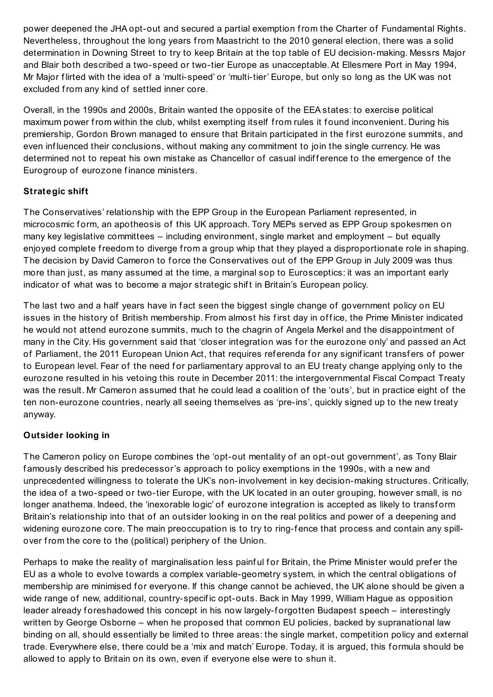power deepened the JHA opt-out and secured a partial exemption from the Charter of Fundamental Rights. Nevertheless, throughout the long years from Maastricht to the 2010 general election, there was a solid determination in Downing Street to try to keep Britain at the top table of EU decision-making. Messrs Major and Blair both described a two-speed or two-tier Europe as unacceptable.At Ellesmere Port in May 1994, Mr Major f lirted with the idea of a 'multi-speed' or 'multi-tier' Europe, but only so long as the UK was not excluded from any kind of settled inner core.

Overall, in the 1990s and 2000s, Britain wanted the opposite of the EEA states: to exercise political maximum power from within the club, whilst exempting itself from rules it found inconvenient. During his premiership, Gordon Brown managed to ensure that Britain participated in the f irst eurozone summits, and even inf luenced their conclusions, without making any commitment to join the single currency. He was determined not to repeat his own mistake as Chancellor of casual indifference to the emergence of the Eurogroup of eurozone finance ministers.

## **Strategic shift**

The Conservatives' relationship with the EPP Group in the European Parliament represented, in microcosmic form, an apotheosis of this UK approach. Tory MEPs served as EPP Group spokesmen on many key legislative committees – including environment, single market and employment – but equally enjoyed complete freedom to diverge from a group whip that they played a disproportionate role in shaping. The decision by David Cameron to force the Conservatives out of the EPP Group in July 2009 was thus more than just, as many assumed at the time, a marginal sop to Eurosceptics: it was an important early indicator of what was to become a major strategic shift in Britain's European policy.

The last two and a half years have in fact seen the biggest single change of government policy on EU issues in the history of British membership. From almost his first day in office, the Prime Minister indicated he would not attend eurozone summits, much to the chagrin of Angela Merkel and the disappointment of many in the City. His government said that 'closer integration was for the eurozone only' and passed an Act of Parliament, the 2011 European Union Act, that requires referenda for any significant transfers of power to European level. Fear of the need for parliamentary approval to an EU treaty change applying only to the eurozone resulted in his vetoing this route in December 2011: the intergovernmental Fiscal Compact Treaty was the result. Mr Cameron assumed that he could lead a coalition of the 'outs', but in practice eight of the ten non-eurozone countries, nearly all seeing themselves as 'pre-ins', quickly signed up to the new treaty anyway.

### **Outsider looking in**

The Cameron policy on Europe combines the 'opt-out mentality of an opt-out government', as Tony Blair f amously described his predecessor's approach to policy exemptions in the 1990s, with a new and unprecedented willingness to tolerate the UK's non-involvement in key decision-making structures. Critically, the idea of a two-speed or two-tier Europe, with the UK located in an outer grouping, however small, is no longer anathema. Indeed, the 'inexorable logic' of eurozone integration is accepted as likely to transform Britain's relationship into that of an outsider looking in on the real politics and power of a deepening and widening eurozone core. The main preoccupation is to try to ring-fence that process and contain any spillover from the core to the (political) periphery of the Union.

Perhaps to make the reality of marginalisation less painful for Britain, the Prime Minister would prefer the EU as a whole to evolve towards a complex variable-geometry system, in which the central obligations of membership are minimised for everyone. If this change cannot be achieved, the UK alone should be given a wide range of new, additional, country-specif ic opt-outs. Back in May 1999, William Hague as opposition leader already foreshadowed this concept in his now largely-forgotten Budapest speech – interestingly written by George Osborne – when he proposed that common EU policies, backed by supranational law binding on all, should essentially be limited to three areas: the single market, competition policy and external trade. Everywhere else, there could be a 'mix and match' Europe. Today, it is argued, this formula should be allowed to apply to Britain on its own, even if everyone else were to shun it.